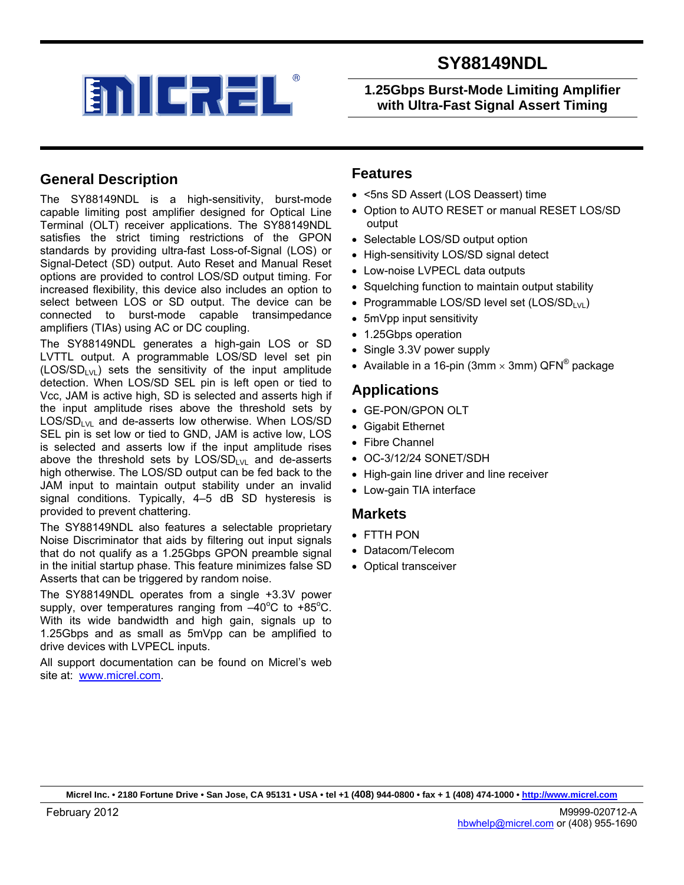**1.25Gbps Burst-Mode Limiting Amplifier with Ultra-Fast Signal Assert Timing** 

## **General Description**

The SY88149NDL is a high-sensitivity, burst-mode capable limiting post amplifier designed for Optical Line Terminal (OLT) receiver applications. The SY88149NDL satisfies the strict timing restrictions of the GPON standards by providing ultra-fast Loss-of-Signal (LOS) or Signal-Detect (SD) output. Auto Reset and Manual Reset options are provided to control LOS/SD output timing. For increased flexibility, this device also includes an option to select between LOS or SD output. The device can be connected to burst-mode capable transimpedance amplifiers (TIAs) using AC or DC coupling.

The SY88149NDL generates a high-gain LOS or SD LVTTL output. A programmable LOS/SD level set pin  $(LOS/SD<sub>EM</sub>)$  sets the sensitivity of the input amplitude detection. When LOS/SD SEL pin is left open or tied to Vcc, JAM is active high, SD is selected and asserts high if the input amplitude rises above the threshold sets by  $LOS/SD<sub>EM</sub>$  and de-asserts low otherwise. When LOS/SD SEL pin is set low or tied to GND, JAM is active low, LOS is selected and asserts low if the input amplitude rises above the threshold sets by  $LOS/SD_{LVL}$  and de-asserts high otherwise. The LOS/SD output can be fed back to the JAM input to maintain output stability under an invalid signal conditions. Typically, 4–5 dB SD hysteresis is provided to prevent chattering.

The SY88149NDL also features a selectable proprietary Noise Discriminator that aids by filtering out input signals that do not qualify as a 1.25Gbps GPON preamble signal in the initial startup phase. This feature minimizes false SD Asserts that can be triggered by random noise.

The SY88149NDL operates from a single +3.3V power supply, over temperatures ranging from  $-40^{\circ}$ C to +85°C. With its wide bandwidth and high gain, signals up to 1.25Gbps and as small as 5mVpp can be amplified to drive devices with LVPECL inputs.

All support documentation can be found on Micrel's web site at: www.micrel.com.

### **Features**

- <5ns SD Assert (LOS Deassert) time
- Option to AUTO RESET or manual RESET LOS/SD output
- Selectable LOS/SD output option
- High-sensitivity LOS/SD signal detect
- Low-noise LVPECL data outputs
- Squelching function to maintain output stability
- Programmable LOS/SD level set  $(LOS/SD_{LVL})$
- 5mVpp input sensitivity
- 1.25Gbps operation
- Single 3.3V power supply
- Available in a 16-pin (3mm  $\times$  3mm) QFN<sup>®</sup> package

### **Applications**

- GE-PON/GPON OLT
- Gigabit Ethernet
- Fibre Channel
- OC-3/12/24 SONET/SDH
- High-gain line driver and line receiver
- Low-gain TIA interface

#### **Markets**

- FTTH PON
- Datacom/Telecom
- Optical transceiver

**Micrel Inc. • 2180 Fortune Drive • San Jose, CA 95131 • USA • tel +1 (408) 944-0800 • fax + 1 (408) 474-1000 • http://www.micrel.com**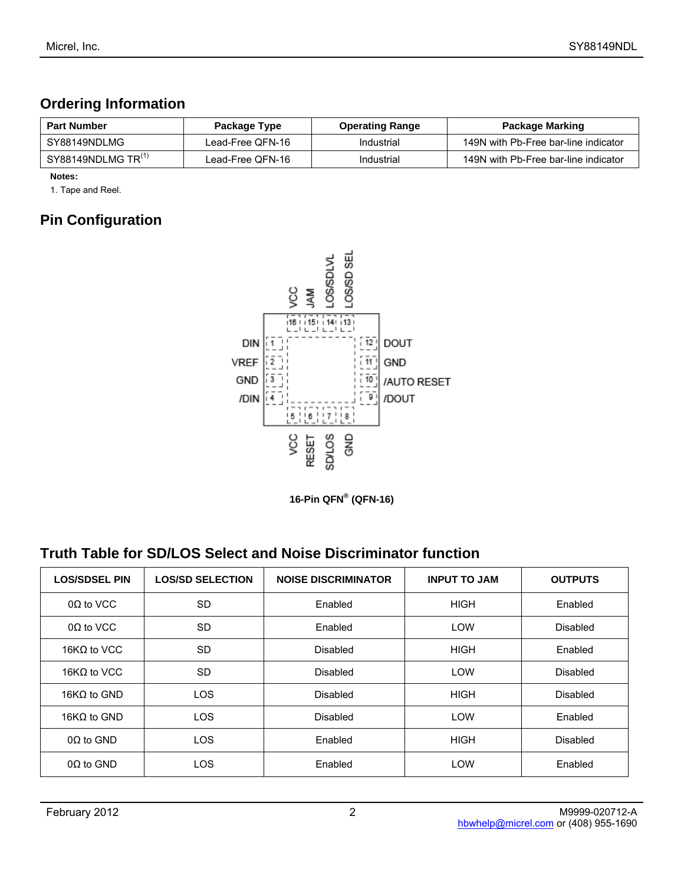## **Ordering Information**

| <b>Part Number</b>                  | Package Type     | <b>Operating Range</b> | Package Marking                      |
|-------------------------------------|------------------|------------------------|--------------------------------------|
| SY88149NDLMG                        | Lead-Free QFN-16 | Industrial             | 149N with Pb-Free bar-line indicator |
| SY88149NDLMG TR $^{\left(1\right)}$ | Lead-Free QFN-16 | Industrial             | 149N with Pb-Free bar-line indicator |

**Notes:** 

1. Tape and Reel.

# **Pin Configuration**



**16-Pin QFN® (QFN-16)** 

## **Truth Table for SD/LOS Select and Noise Discriminator function**

| <b>LOS/SDSEL PIN</b> | <b>LOS/SD SELECTION</b> | <b>NOISE DISCRIMINATOR</b> | <b>INPUT TO JAM</b> | <b>OUTPUTS</b>  |
|----------------------|-------------------------|----------------------------|---------------------|-----------------|
| $0\Omega$ to VCC     | <b>SD</b>               | Enabled                    | <b>HIGH</b>         | Enabled         |
| $0\Omega$ to VCC     | <b>SD</b>               | Enabled                    | LOW                 | Disabled        |
| 16 $K\Omega$ to VCC  | <b>SD</b>               | <b>Disabled</b>            | <b>HIGH</b>         | Enabled         |
| 16 $K\Omega$ to VCC  | <b>SD</b>               | <b>Disabled</b>            | <b>LOW</b>          | <b>Disabled</b> |
| 16 $K\Omega$ to GND  | <b>LOS</b>              | <b>Disabled</b>            | <b>HIGH</b>         | <b>Disabled</b> |
| 16 $K\Omega$ to GND  | <b>LOS</b>              | <b>Disabled</b>            | LOW                 | Enabled         |
| $0\Omega$ to GND     | <b>LOS</b>              | Enabled                    | <b>HIGH</b>         | <b>Disabled</b> |
| $0\Omega$ to GND     | <b>LOS</b>              | Enabled                    | LOW                 | Enabled         |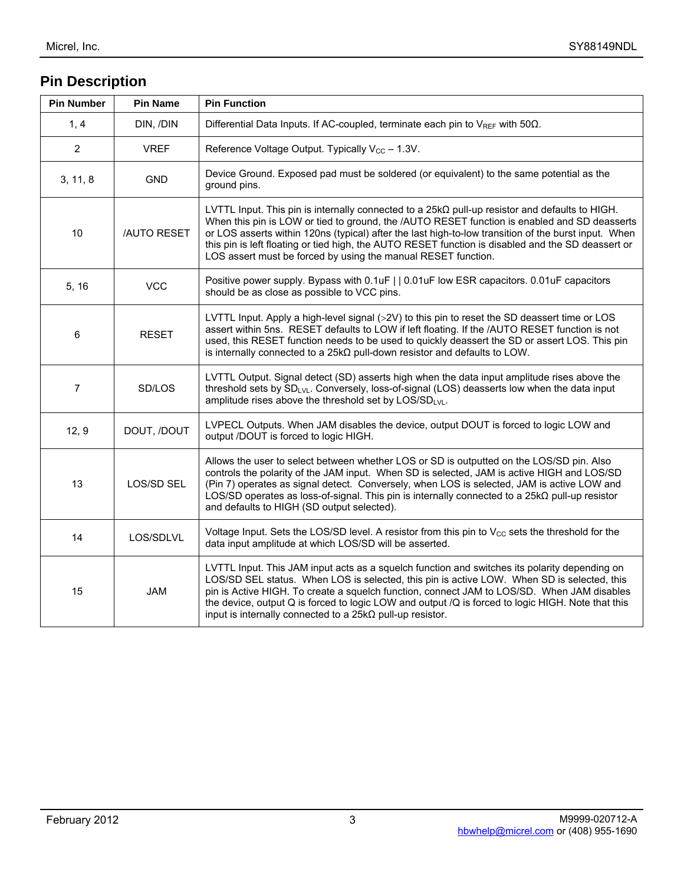# **Pin Description**

| <b>Pin Number</b> | <b>Pin Name</b>    | <b>Pin Function</b>                                                                                                                                                                                                                                                                                                                                                                                                                                                                  |
|-------------------|--------------------|--------------------------------------------------------------------------------------------------------------------------------------------------------------------------------------------------------------------------------------------------------------------------------------------------------------------------------------------------------------------------------------------------------------------------------------------------------------------------------------|
| 1, 4              | DIN, /DIN          | Differential Data Inputs. If AC-coupled, terminate each pin to $V_{REF}$ with 50 $\Omega$ .                                                                                                                                                                                                                                                                                                                                                                                          |
| $\overline{2}$    | <b>VREF</b>        | Reference Voltage Output. Typically V <sub>cc</sub> - 1.3V.                                                                                                                                                                                                                                                                                                                                                                                                                          |
| 3, 11, 8          | <b>GND</b>         | Device Ground. Exposed pad must be soldered (or equivalent) to the same potential as the<br>ground pins.                                                                                                                                                                                                                                                                                                                                                                             |
| 10                | <b>/AUTO RESET</b> | LVTTL Input. This pin is internally connected to a $25k\Omega$ pull-up resistor and defaults to HIGH.<br>When this pin is LOW or tied to ground, the /AUTO RESET function is enabled and SD deasserts<br>or LOS asserts within 120ns (typical) after the last high-to-low transition of the burst input. When<br>this pin is left floating or tied high, the AUTO RESET function is disabled and the SD deassert or<br>LOS assert must be forced by using the manual RESET function. |
| 5, 16             | <b>VCC</b>         | Positive power supply. Bypass with 0.1uF     0.01uF low ESR capacitors. 0.01uF capacitors<br>should be as close as possible to VCC pins.                                                                                                                                                                                                                                                                                                                                             |
| 6                 | <b>RESET</b>       | LVTTL Input. Apply a high-level signal (>2V) to this pin to reset the SD deassert time or LOS<br>assert within 5ns. RESET defaults to LOW if left floating. If the /AUTO RESET function is not<br>used, this RESET function needs to be used to quickly deassert the SD or assert LOS. This pin<br>is internally connected to a $25k\Omega$ pull-down resistor and defaults to LOW.                                                                                                  |
| $\overline{7}$    | SD/LOS             | LVTTL Output. Signal detect (SD) asserts high when the data input amplitude rises above the<br>threshold sets by SD <sub>LVL</sub> . Conversely, loss-of-signal (LOS) deasserts low when the data input<br>amplitude rises above the threshold set by LOS/SDLVL.                                                                                                                                                                                                                     |
| 12, 9             | DOUT, /DOUT        | LVPECL Outputs. When JAM disables the device, output DOUT is forced to logic LOW and<br>output /DOUT is forced to logic HIGH.                                                                                                                                                                                                                                                                                                                                                        |
| 13                | <b>LOS/SD SEL</b>  | Allows the user to select between whether LOS or SD is outputted on the LOS/SD pin. Also<br>controls the polarity of the JAM input. When SD is selected, JAM is active HIGH and LOS/SD<br>(Pin 7) operates as signal detect. Conversely, when LOS is selected, JAM is active LOW and<br>LOS/SD operates as loss-of-signal. This pin is internally connected to a $25k\Omega$ pull-up resistor<br>and defaults to HIGH (SD output selected).                                          |
| 14                | LOS/SDLVL          | Voltage Input. Sets the LOS/SD level. A resistor from this pin to $V_{\text{CC}}$ sets the threshold for the<br>data input amplitude at which LOS/SD will be asserted.                                                                                                                                                                                                                                                                                                               |
| 15                | <b>JAM</b>         | LVTTL Input. This JAM input acts as a squelch function and switches its polarity depending on<br>LOS/SD SEL status. When LOS is selected, this pin is active LOW. When SD is selected, this<br>pin is Active HIGH. To create a squelch function, connect JAM to LOS/SD. When JAM disables<br>the device, output Q is forced to logic LOW and output /Q is forced to logic HIGH. Note that this<br>input is internally connected to a $25k\Omega$ pull-up resistor.                   |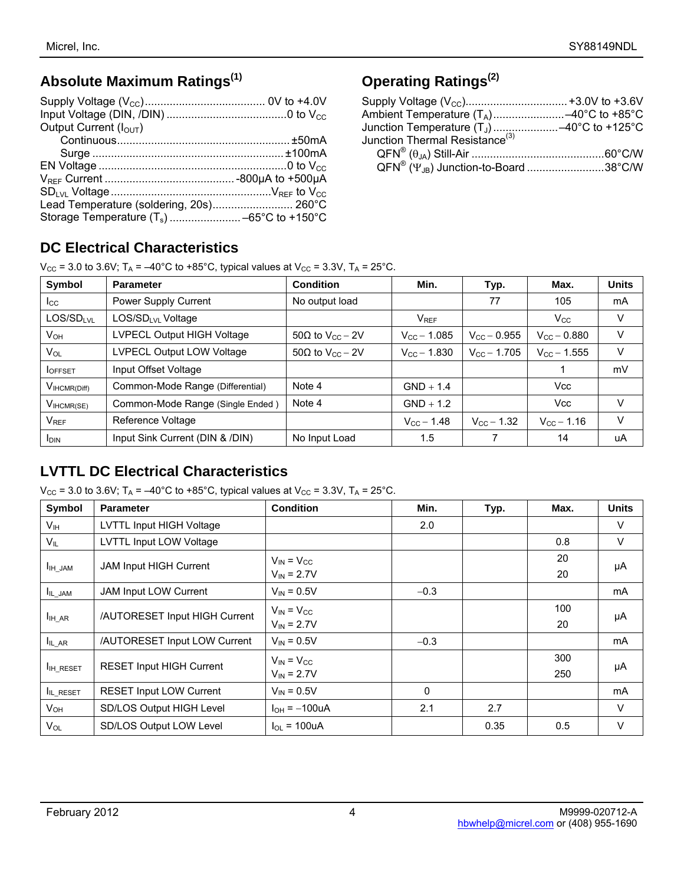# **Absolute Maximum Ratings(1)**

| Output Current $(IOUT)$                 |  |
|-----------------------------------------|--|
|                                         |  |
|                                         |  |
|                                         |  |
|                                         |  |
|                                         |  |
| Lead Temperature (soldering, 20s) 260°C |  |
|                                         |  |

# **Operating Ratings(2)**

| Junction Thermal Resistance <sup>(3)</sup>                    |  |
|---------------------------------------------------------------|--|
|                                                               |  |
| QFN <sup>®</sup> (Y <sub>.IR</sub> ) Junction-to-Board 38°C/W |  |
|                                                               |  |

# **DC Electrical Characteristics**

 $V_{CC}$  = 3.0 to 3.6V; T<sub>A</sub> = -40°C to +85°C, typical values at V<sub>CC</sub> = 3.3V, T<sub>A</sub> = 25°C.

| Symbol                   | <b>Parameter</b>                 | <b>Condition</b>                    | Min.                    | Typ.                   | Max.                   | <b>Units</b> |
|--------------------------|----------------------------------|-------------------------------------|-------------------------|------------------------|------------------------|--------------|
| $_{\rm lcc}$             | Power Supply Current             | No output load                      |                         | 77                     | 105                    | mA           |
| LOS/SDLVL                | LOS/SDLVL Voltage                |                                     | <b>V</b> <sub>REF</sub> |                        | $V_{\rm CC}$           | V            |
| $V_{OH}$                 | LVPECL Output HIGH Voltage       | 50 $\Omega$ to V <sub>cc</sub> – 2V | $V_{\text{CC}} - 1.085$ | $V_{\rm CC}$ – 0.955   | $V_{CC} - 0.880$       | V            |
| $V_{OL}$                 | LVPECL Output LOW Voltage        | 50 $\Omega$ to V <sub>cc</sub> – 2V | $V_{\rm CC}$ – 1.830    | $V_{\rm CC}$ – 1.705   | $V_{\rm CC}$ – 1.555   | V            |
| <b>I</b> OFFSET          | Input Offset Voltage             |                                     |                         |                        |                        | mV           |
| $V_{\text{IHCMR(Diff)}}$ | Common-Mode Range (Differential) | Note 4                              | $GND + 1.4$             |                        | <b>Vcc</b>             |              |
| $V_{\text{IHCMR(SE)}}$   | Common-Mode Range (Single Ended) | Note 4                              | $GND + 1.2$             |                        | <b>Vcc</b>             | V            |
| $V_{REF}$                | Reference Voltage                |                                     | $V_{\rm CC}$ – 1.48     | $V_{\text{CC}} - 1.32$ | $V_{\text{CC}} - 1.16$ | $\vee$       |
| <b>I</b> DIN             | Input Sink Current (DIN & /DIN)  | No Input Load                       | 1.5                     |                        | 14                     | uA           |

# **LVTTL DC Electrical Characteristics**

 $V_{CC}$  = 3.0 to 3.6V; T<sub>A</sub> = -40°C to +85°C, typical values at V<sub>CC</sub> = 3.3V, T<sub>A</sub> = 25°C.

| Symbol                     | <b>Parameter</b>                | <b>Condition</b>                     | Min.     | Typ. | Max.       | <b>Units</b> |
|----------------------------|---------------------------------|--------------------------------------|----------|------|------------|--------------|
| Vıн                        | LVTTL Input HIGH Voltage        |                                      | 2.0      |      |            | $\vee$       |
| $V_{\parallel L}$          | LVTTL Input LOW Voltage         |                                      |          |      | 0.8        | $\vee$       |
| I <sub>IH_JAM</sub>        | <b>JAM Input HIGH Current</b>   | $V_{IN} = V_{CC}$<br>$V_{IN} = 2.7V$ |          |      | 20<br>20   | μA           |
| IL_JAM                     | JAM Input LOW Current           | $V_{IN} = 0.5V$                      | $-0.3$   |      |            | mA           |
| $I_{\text{IH}\_\text{AR}}$ | /AUTORESET Input HIGH Current   | $V_{IN} = V_{CC}$<br>$V_{IN} = 2.7V$ |          |      | 100<br>20  | μA           |
| $I_{IL\_AR}$               | /AUTORESET Input LOW Current    | $V_{IN} = 0.5V$                      | $-0.3$   |      |            | mA           |
| I <sub>IH_RESET</sub>      | <b>RESET Input HIGH Current</b> | $V_{IN} = V_{CC}$<br>$V_{IN} = 2.7V$ |          |      | 300<br>250 | μA           |
| IL_RESET                   | <b>RESET Input LOW Current</b>  | $V_{IN} = 0.5V$                      | $\Omega$ |      |            | mA           |
| V <sub>он</sub>            | <b>SD/LOS Output HIGH Level</b> | $I_{OH} = -100uA$                    | 2.1      | 2.7  |            | $\vee$       |
| Vol                        | SD/LOS Output LOW Level         | $I_{\text{O}} = 100$ uA              |          | 0.35 | 0.5        | V            |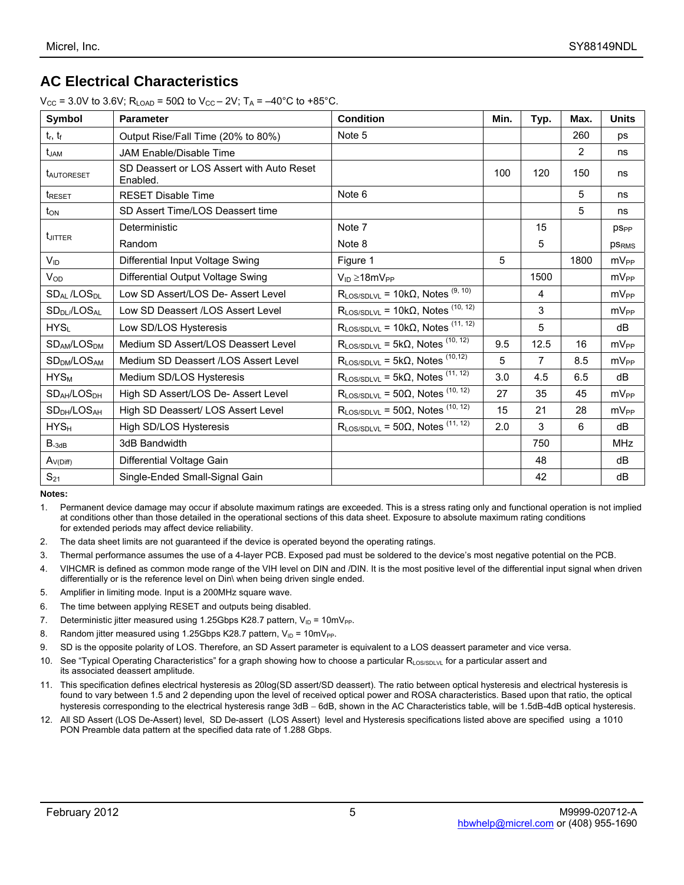## **AC Electrical Characteristics**

| $V_{\rm CC}$ = 3.0V to 3.6V; R <sub>LOAD</sub> = 50 $\Omega$ to $V_{\rm CC}$ – 2V; T <sub>A</sub> = –40 <sup>o</sup> C to +85 <sup>o</sup> C. |  |  |
|-----------------------------------------------------------------------------------------------------------------------------------------------|--|--|
|                                                                                                                                               |  |  |

| Symbol                              | <b>Parameter</b>                                      | <b>Condition</b>                                     | Min. | Typ.           | Max. | <b>Units</b>           |
|-------------------------------------|-------------------------------------------------------|------------------------------------------------------|------|----------------|------|------------------------|
| $t_r$ , $t_f$                       | Output Rise/Fall Time (20% to 80%)                    | Note 5                                               |      |                | 260  | ps                     |
| t <sub>JAM</sub>                    | JAM Enable/Disable Time                               |                                                      |      |                | 2    | ns                     |
| <b>LAUTORESET</b>                   | SD Deassert or LOS Assert with Auto Reset<br>Enabled. |                                                      | 100  | 120            | 150  | ns                     |
| <b>t</b> RESET                      | <b>RESET Disable Time</b>                             | Note 6                                               |      |                | 5    | ns                     |
| $t_{ON}$                            | SD Assert Time/LOS Deassert time                      |                                                      |      |                | 5    | ns                     |
|                                     | Deterministic                                         | Note 7                                               |      | 15             |      | <b>pS<sub>PP</sub></b> |
| <b>L</b> JITTER                     | Random                                                | Note 8                                               |      | 5              |      | <b>PSRMS</b>           |
| $V_{ID}$                            | Differential Input Voltage Swing                      | Figure 1                                             | 5    |                | 1800 | mV <sub>PP</sub>       |
| $V_{OD}$                            | Differential Output Voltage Swing                     | $V_{ID} \geq 18mV_{PP}$                              |      | 1500           |      | $mV_{PP}$              |
| <b>SDAL/LOSDL</b>                   | Low SD Assert/LOS De-Assert Level                     | $R_{LOS/SDLVL}$ = 10k $\Omega$ , Notes $^{(9, 10)}$  |      | 4              |      | mV <sub>PP</sub>       |
| SD <sub>DL</sub> /LOS <sub>AL</sub> | Low SD Deassert /LOS Assert Level                     | $R_{LOS/SDLVL}$ = 10k $\Omega$ , Notes (10, 12)      |      | 3              |      | $mV_{PP}$              |
| HYS <sub>L</sub>                    | Low SD/LOS Hysteresis                                 | $R_{LOS/SDLVL}$ = 10k $\Omega$ , Notes $^{(11, 12)}$ |      | 5              |      | dB                     |
| SD <sub>AM</sub> /LOS <sub>DM</sub> | Medium SD Assert/LOS Deassert Level                   | $R_{LOS/SDLVL}$ = 5k $\Omega$ , Notes $^{(10, 12)}$  | 9.5  | 12.5           | 16   | $mV_{PP}$              |
| SD <sub>DM</sub> /LOS <sub>AM</sub> | Medium SD Deassert /LOS Assert Level                  | $R_{LOS/SDLVL}$ = 5k $\Omega$ , Notes $^{(10,12)}$   | 5    | $\overline{7}$ | 8.5  | $mV_{PP}$              |
| $HYS_M$                             | Medium SD/LOS Hysteresis                              | $R_{LOS/SDLVL}$ = 5k $\Omega$ , Notes $^{(11, 12)}$  | 3.0  | 4.5            | 6.5  | dB                     |
| SD <sub>AH</sub> /LOS <sub>DH</sub> | High SD Assert/LOS De- Assert Level                   | $R_{LOS/SDLVL}$ = 50 $\Omega$ , Notes (10, 12)       | 27   | 35             | 45   | $mV_{PP}$              |
| SD <sub>DH</sub> /LOS <sub>AH</sub> | High SD Deassert/ LOS Assert Level                    | $R_{LOS/SDLVL}$ = 50 $\Omega$ , Notes (10, 12)       | 15   | 21             | 28   | $mV_{PP}$              |
| HYS <sub>H</sub>                    | High SD/LOS Hysteresis                                | $R_{LOS/SDLVL}$ = 50 $\Omega$ , Notes $^{(11, 12)}$  | 2.0  | 3              | 6    | dB                     |
| $B_{-3dB}$                          | 3dB Bandwidth                                         |                                                      |      | 750            |      | <b>MHz</b>             |
| $A_{V(Diff)}$                       | Differential Voltage Gain                             |                                                      |      | 48             |      | dB                     |
| $S_{21}$                            | Single-Ended Small-Signal Gain                        |                                                      |      | 42             |      | dB                     |

**Notes:** 

1. Permanent device damage may occur if absolute maximum ratings are exceeded. This is a stress rating only and functional operation is not implied at conditions other than those detailed in the operational sections of this data sheet. Exposure to absolute maximum rating conditions for extended periods may affect device reliability.

- 2. The data sheet limits are not guaranteed if the device is operated beyond the operating ratings.
- 3. Thermal performance assumes the use of a 4-layer PCB. Exposed pad must be soldered to the device's most negative potential on the PCB.
- 4. VIHCMR is defined as common mode range of the VIH level on DIN and /DIN. It is the most positive level of the differential input signal when driven differentially or is the reference level on Din\ when being driven single ended.
- 5. Amplifier in limiting mode. Input is a 200MHz square wave.
- 6. The time between applying RESET and outputs being disabled.
- 7. Deterministic jitter measured using 1.25Gbps K28.7 pattern,  $V_{ID} = 10 \text{mV}_{PP}$ .
- 8. Random jitter measured using 1.25Gbps K28.7 pattern,  $V_{ID} = 10 \text{mV}_{PP}$ .
- 9. SD is the opposite polarity of LOS. Therefore, an SD Assert parameter is equivalent to a LOS deassert parameter and vice versa.
- 10. See "Typical Operating Characteristics" for a graph showing how to choose a particular  $R_{\text{LOSSDLVL}}$  for a particular assert and its associated deassert amplitude.
- 11. This specification defines electrical hysteresis as 20log(SD assert/SD deassert). The ratio between optical hysteresis and electrical hysteresis is found to vary between 1.5 and 2 depending upon the level of received optical power and ROSA characteristics. Based upon that ratio, the optical hysteresis corresponding to the electrical hysteresis range 3dB − 6dB, shown in the AC Characteristics table, will be 1.5dB-4dB optical hysteresis.
- 12. All SD Assert (LOS De-Assert) level, SD De-assert (LOS Assert) level and Hysteresis specifications listed above are specified using a 1010 PON Preamble data pattern at the specified data rate of 1.288 Gbps.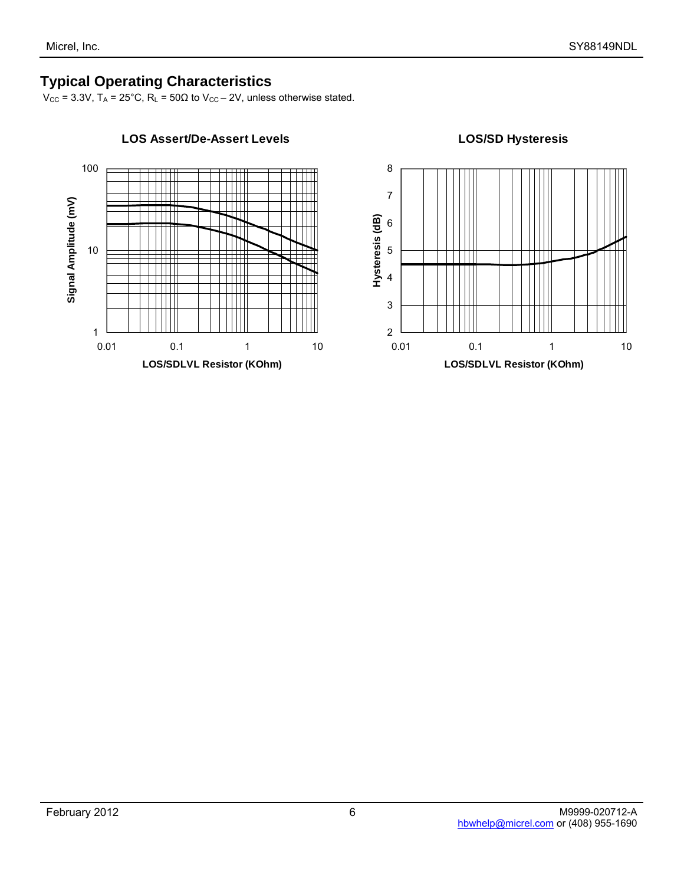## **Typical Operating Characteristics**

 $V_{\text{CC}}$  = 3.3V, T<sub>A</sub> = 25°C, R<sub>L</sub> = 50 $\Omega$  to  $V_{\text{CC}}$  – 2V, unless otherwise stated.



# 2 3 4 5 6 7 8 0.01 0.1 1 10 **LOS/SDLVL Resistor (KOhm) Hysteresis (dB)**

#### **LOS/SD Hysteresis**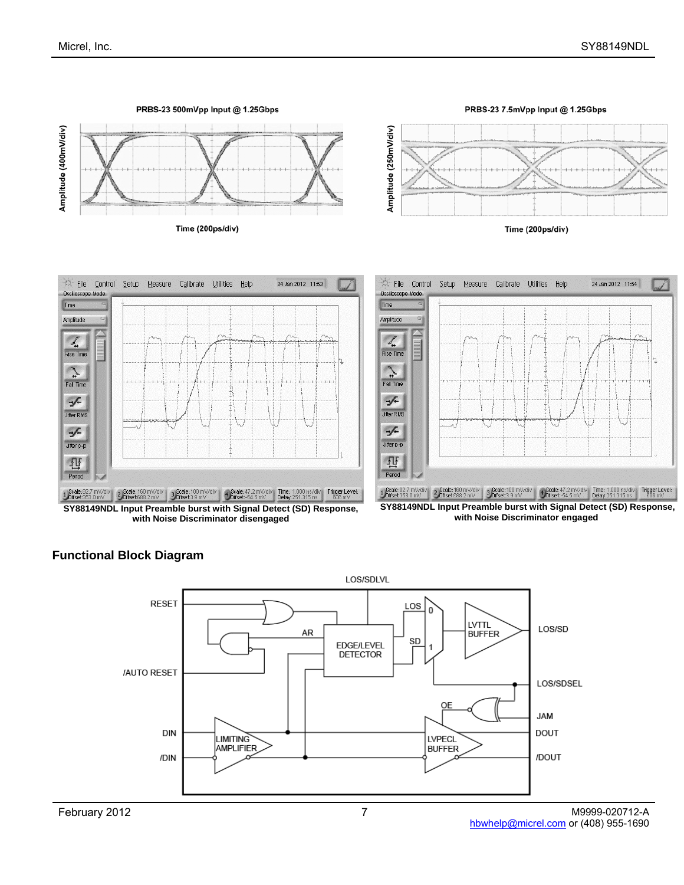

**SY88149NDL Input Preamble burst with Signal Detect (SD) Response, with Noise Discriminator disengaged** 

**with Noise Discriminator engaged** 



#### **Functional Block Diagram**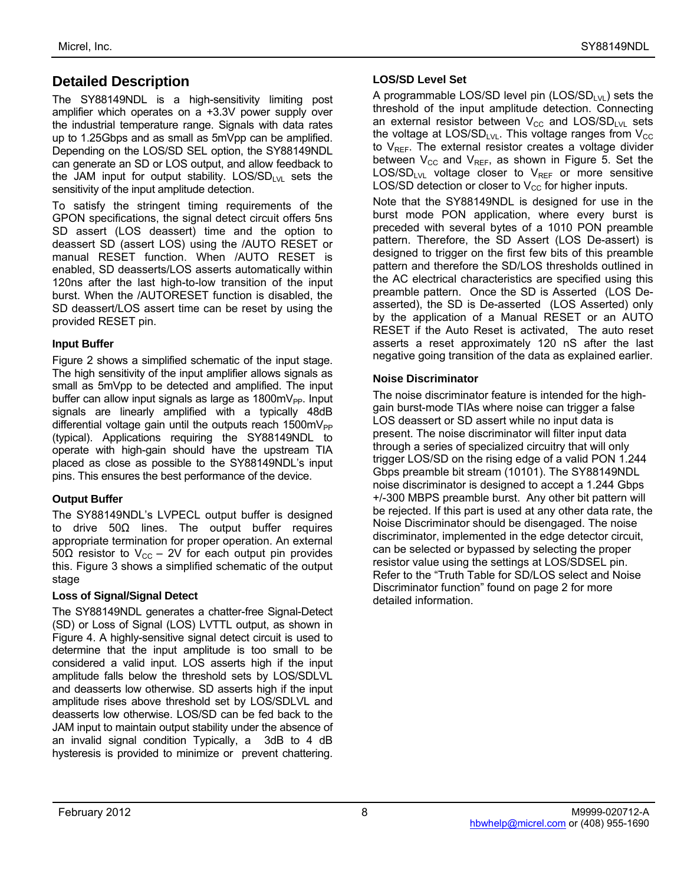## **Detailed Description**

The SY88149NDL is a high-sensitivity limiting post amplifier which operates on a +3.3V power supply over the industrial temperature range. Signals with data rates up to 1.25Gbps and as small as 5mVpp can be amplified. Depending on the LOS/SD SEL option, the SY88149NDL can generate an SD or LOS output, and allow feedback to the JAM input for output stability.  $LOS/SD_{LVL}$  sets the sensitivity of the input amplitude detection.

To satisfy the stringent timing requirements of the GPON specifications, the signal detect circuit offers 5ns SD assert (LOS deassert) time and the option to deassert SD (assert LOS) using the /AUTO RESET or manual RESET function. When /AUTO RESET is enabled, SD deasserts/LOS asserts automatically within 120ns after the last high-to-low transition of the input burst. When the /AUTORESET function is disabled, the SD deassert/LOS assert time can be reset by using the provided RESET pin.

#### **Input Buffer**

Figure 2 shows a simplified schematic of the input stage. The high sensitivity of the input amplifier allows signals as small as 5mVpp to be detected and amplified. The input buffer can allow input signals as large as  $1800 \text{mV}_{\text{PP}}$ . Input signals are linearly amplified with a typically 48dB differential voltage gain until the outputs reach  $1500 \text{mV}_{\text{PP}}$ (typical). Applications requiring the SY88149NDL to operate with high-gain should have the upstream TIA placed as close as possible to the SY88149NDL's input pins. This ensures the best performance of the device.

#### **Output Buffer**

The SY88149NDL's LVPECL output buffer is designed to drive 50Ω lines. The output buffer requires appropriate termination for proper operation. An external 50Ω resistor to V<sub>CC</sub> – 2V for each output pin provides this. Figure 3 shows a simplified schematic of the output stage

#### **Loss of Signal/Signal Detect**

The SY88149NDL generates a chatter-free Signal-Detect (SD) or Loss of Signal (LOS) LVTTL output, as shown in Figure 4. A highly-sensitive signal detect circuit is used to determine that the input amplitude is too small to be considered a valid input. LOS asserts high if the input amplitude falls below the threshold sets by LOS/SDLVL and deasserts low otherwise. SD asserts high if the input amplitude rises above threshold set by LOS/SDLVL and deasserts low otherwise. LOS/SD can be fed back to the JAM input to maintain output stability under the absence of an invalid signal condition Typically, a 3dB to 4 dB hysteresis is provided to minimize or prevent chattering.

#### **LOS/SD Level Set**

A programmable LOS/SD level pin  $(LOS/SD_{LVL})$  sets the threshold of the input amplitude detection. Connecting an external resistor between  $V_{CC}$  and LOS/SD<sub>LVL</sub> sets the voltage at LOS/SD<sub>LVL</sub>. This voltage ranges from  $V_{\text{CC}}$ to  $V_{REF}$ . The external resistor creates a voltage divider between  $V_{CC}$  and  $V_{REF}$ , as shown in Figure 5. Set the  $LOS/SD_{LVL}$  voltage closer to  $V_{REF}$  or more sensitive LOS/SD detection or closer to  $V_{CC}$  for higher inputs.

Note that the SY88149NDL is designed for use in the burst mode PON application, where every burst is preceded with several bytes of a 1010 PON preamble pattern. Therefore, the SD Assert (LOS De-assert) is designed to trigger on the first few bits of this preamble pattern and therefore the SD/LOS thresholds outlined in the AC electrical characteristics are specified using this preamble pattern. Once the SD is Asserted (LOS Deasserted), the SD is De-asserted (LOS Asserted) only by the application of a Manual RESET or an AUTO RESET if the Auto Reset is activated, The auto reset asserts a reset approximately 120 nS after the last negative going transition of the data as explained earlier.

#### **Noise Discriminator**

The noise discriminator feature is intended for the highgain burst-mode TIAs where noise can trigger a false LOS deassert or SD assert while no input data is present. The noise discriminator will filter input data through a series of specialized circuitry that will only trigger LOS/SD on the rising edge of a valid PON 1.244 Gbps preamble bit stream (10101). The SY88149NDL noise discriminator is designed to accept a 1.244 Gbps +/-300 MBPS preamble burst. Any other bit pattern will be rejected. If this part is used at any other data rate, the Noise Discriminator should be disengaged. The noise discriminator, implemented in the edge detector circuit, can be selected or bypassed by selecting the proper resistor value using the settings at LOS/SDSEL pin. Refer to the "Truth Table for SD/LOS select and Noise Discriminator function" found on page 2 for more detailed information.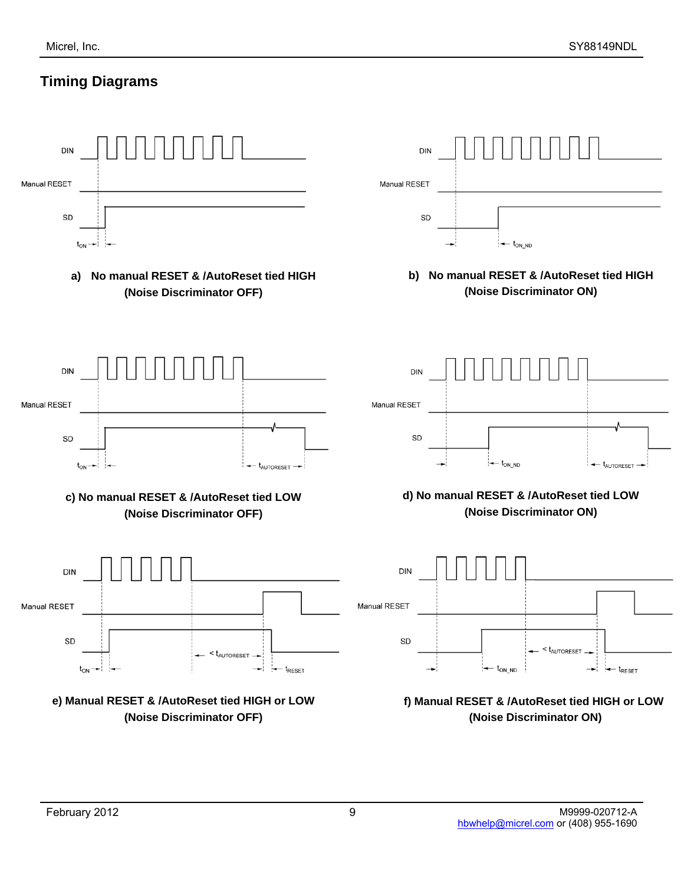# **Timing Diagrams**

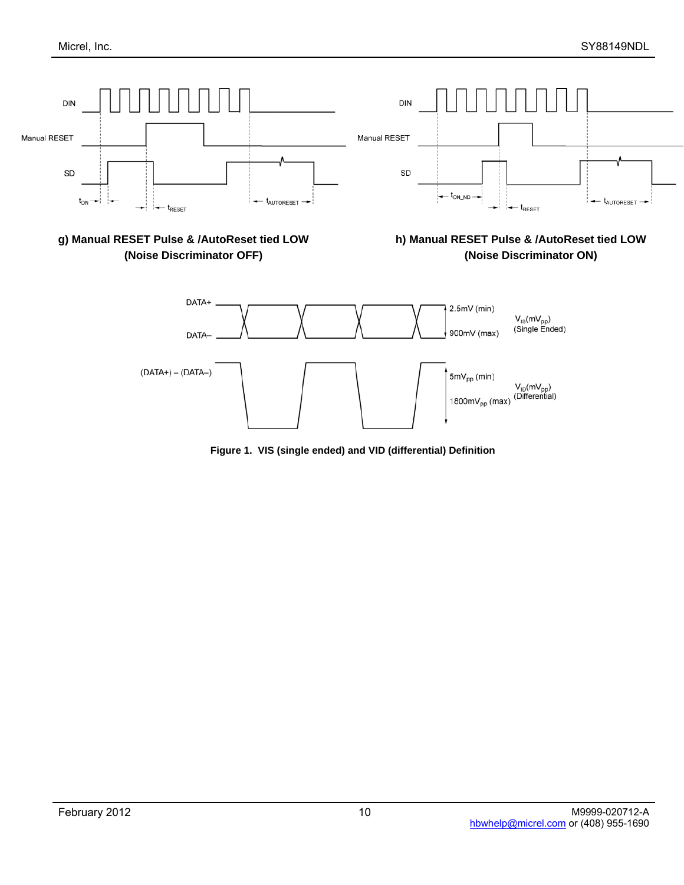

**Figure 1. VIS (single ended) and VID (differential) Definition**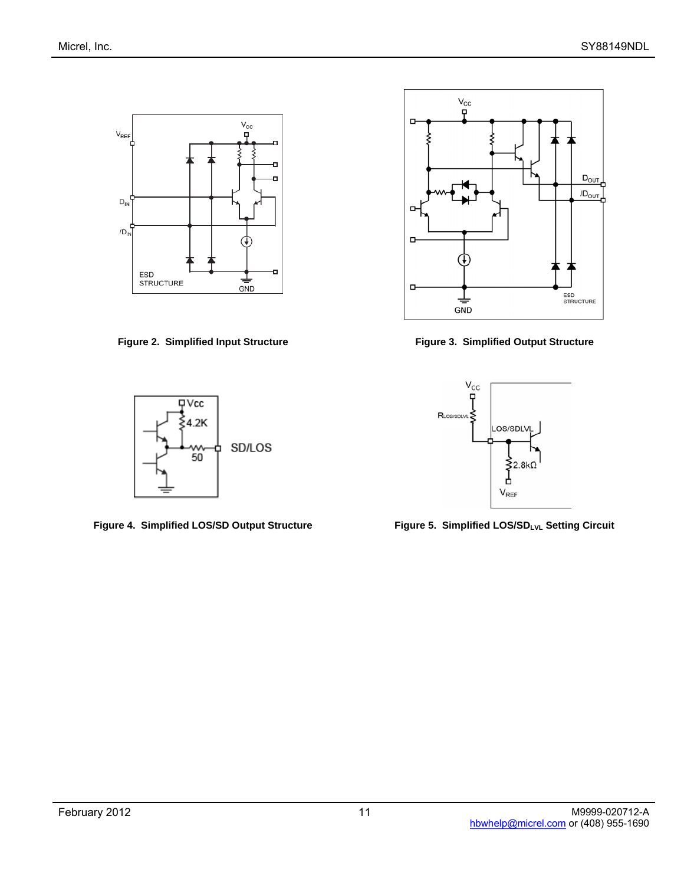





**Figure 2. Simplified Input Structure Figure 3. Simplified Output Structure** 



Figure 4. Simplified LOS/SD Output Structure **Figure 5. Simplified LOS/SD<sub>LVL</sub> Setting Circuit**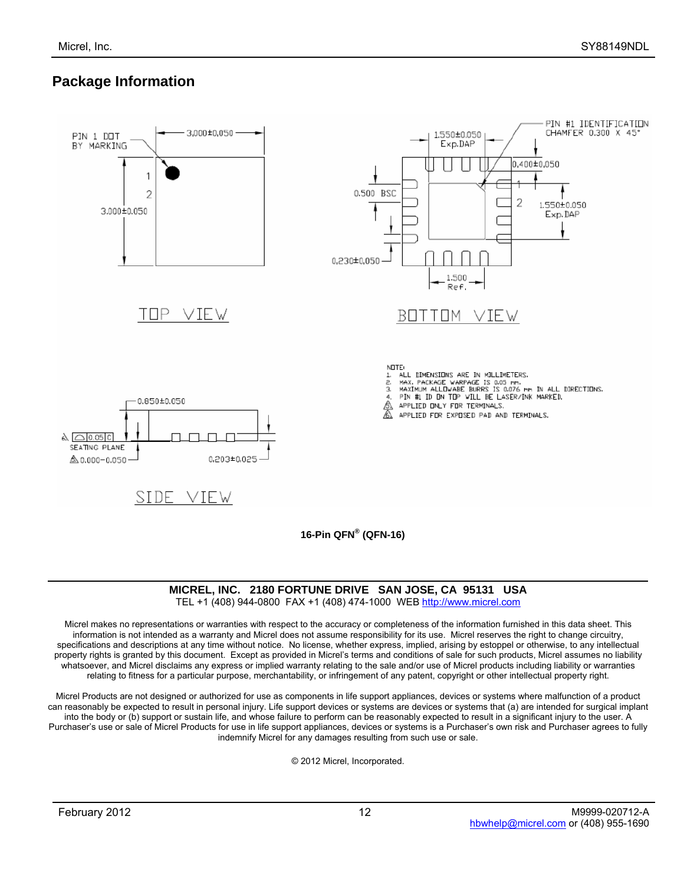## **Package Information**



TEL +1 (408) 944-0800 FAX +1 (408) 474-1000 WEB http://www.micrel.com

Micrel makes no representations or warranties with respect to the accuracy or completeness of the information furnished in this data sheet. This information is not intended as a warranty and Micrel does not assume responsibility for its use. Micrel reserves the right to change circuitry, specifications and descriptions at any time without notice. No license, whether express, implied, arising by estoppel or otherwise, to any intellectual property rights is granted by this document. Except as provided in Micrel's terms and conditions of sale for such products, Micrel assumes no liability whatsoever, and Micrel disclaims any express or implied warranty relating to the sale and/or use of Micrel products including liability or warranties relating to fitness for a particular purpose, merchantability, or infringement of any patent, copyright or other intellectual property right.

Micrel Products are not designed or authorized for use as components in life support appliances, devices or systems where malfunction of a product can reasonably be expected to result in personal injury. Life support devices or systems are devices or systems that (a) are intended for surgical implant into the body or (b) support or sustain life, and whose failure to perform can be reasonably expected to result in a significant injury to the user. A Purchaser's use or sale of Micrel Products for use in life support appliances, devices or systems is a Purchaser's own risk and Purchaser agrees to fully indemnify Micrel for any damages resulting from such use or sale.

© 2012 Micrel, Incorporated.